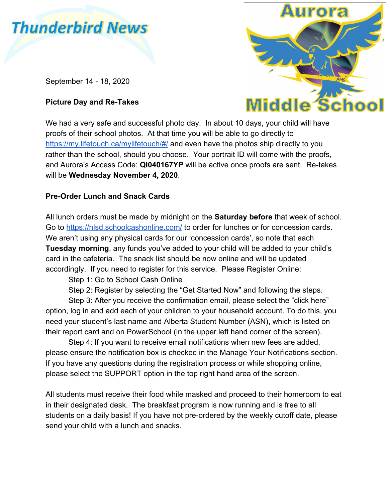# **Thunderbird News**

September 14 - 18, 2020

# **Picture Day and Re-Takes**



We had a very safe and successful photo day. In about 10 days, your child will have proofs of their school photos. At that time you will be able to go directly to <https://my.lifetouch.ca/mylifetouch/#/>and even have the photos ship directly to you rather than the school, should you choose. Your portrait ID will come with the proofs, and Aurora's Access Code: **QI040167YP** will be active once proofs are sent. Re-takes will be **Wednesday November 4, 2020**.

# **Pre-Order Lunch and Snack Cards**

All lunch orders must be made by midnight on the **Saturday before** that week of school. Go to <https://nlsd.schoolcashonline.com/> to order for lunches or for concession cards. We aren't using any physical cards for our 'concession cards', so note that each **Tuesday morning**, any funds you've added to your child will be added to your child's card in the cafeteria. The snack list should be now online and will be updated accordingly. If you need to register for this service, Please Register Online:

Step 1: Go to School Cash Online

Step 2: Register by selecting the "Get Started Now" and following the steps.

Step 3: After you receive the confirmation email, please select the "click here" option, log in and add each of your children to your household account. To do this, you need your student's last name and Alberta Student Number (ASN), which is listed on their report card and on PowerSchool (in the upper left hand corner of the screen).

Step 4: If you want to receive email notifications when new fees are added, please ensure the notification box is checked in the Manage Your Notifications section. If you have any questions during the registration process or while shopping online, please select the SUPPORT option in the top right hand area of the screen.

All students must receive their food while masked and proceed to their homeroom to eat in their designated desk. The breakfast program is now running and is free to all students on a daily basis! If you have not pre-ordered by the weekly cutoff date, please send your child with a lunch and snacks.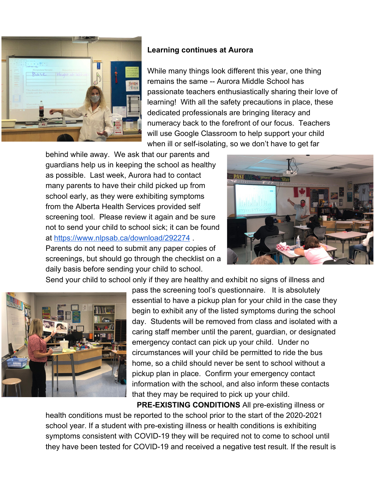

#### **Learning continues at Aurora**

While many things look different this year, one thing remains the same -- Aurora Middle School has passionate teachers enthusiastically sharing their love of learning! With all the safety precautions in place, these dedicated professionals are bringing literacy and numeracy back to the forefront of our focus. Teachers will use Google Classroom to help support your child when ill or self-isolating, so we don't have to get far

behind while away. We ask that our parents and guardians help us in keeping the school as healthy as possible. Last week, Aurora had to contact many parents to have their child picked up from school early, as they were exhibiting symptoms from the Alberta Health Services provided self screening tool. Please review it again and be sure not to send your child to school sick; it can be found at <https://www.nlpsab.ca/download/292274> .

Parents do not need to submit any paper copies of screenings, but should go through the checklist on a daily basis before sending your child to school.





pass the screening tool's questionnaire. It is absolutely essential to have a pickup plan for your child in the case they begin to exhibit any of the listed symptoms during the school day. Students will be removed from class and isolated with a caring staff member until the parent, guardian, or designated emergency contact can pick up your child. Under no circumstances will your child be permitted to ride the bus home, so a child should never be sent to school without a pickup plan in place. Confirm your emergency contact information with the school, and also inform these contacts that they may be required to pick up your child.

**PRE-EXISTING CONDITIONS** All pre-existing illness or health conditions must be reported to the school prior to the start of the 2020-2021 school year. If a student with pre-existing illness or health conditions is exhibiting symptoms consistent with COVID-19 they will be required not to come to school until they have been tested for COVID-19 and received a negative test result. If the result is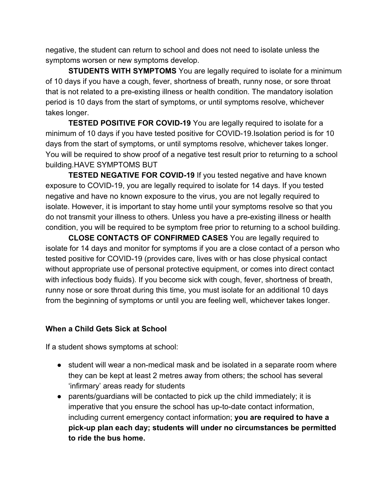negative, the student can return to school and does not need to isolate unless the symptoms worsen or new symptoms develop.

**STUDENTS WITH SYMPTOMS** You are legally required to isolate for a minimum of 10 days if you have a cough, fever, shortness of breath, runny nose, or sore throat that is not related to a pre-existing illness or health condition. The mandatory isolation period is 10 days from the start of symptoms, or until symptoms resolve, whichever takes longer.

**TESTED POSITIVE FOR COVID-19** You are legally required to isolate for a minimum of 10 days if you have tested positive for COVID-19.Isolation period is for 10 days from the start of symptoms, or until symptoms resolve, whichever takes longer. You will be required to show proof of a negative test result prior to returning to a school building.HAVE SYMPTOMS BUT

**TESTED NEGATIVE FOR COVID-19** If you tested negative and have known exposure to COVID-19, you are legally required to isolate for 14 days. If you tested negative and have no known exposure to the virus, you are not legally required to isolate. However, it is important to stay home until your symptoms resolve so that you do not transmit your illness to others. Unless you have a pre-existing illness or health condition, you will be required to be symptom free prior to returning to a school building.

**CLOSE CONTACTS OF CONFIRMED CASES** You are legally required to isolate for 14 days and monitor for symptoms if you are a close contact of a person who tested positive for COVID-19 (provides care, lives with or has close physical contact without appropriate use of personal protective equipment, or comes into direct contact with infectious body fluids). If you become sick with cough, fever, shortness of breath, runny nose or sore throat during this time, you must isolate for an additional 10 days from the beginning of symptoms or until you are feeling well, whichever takes longer.

### **When a Child Gets Sick at School**

If a student shows symptoms at school:

- student will wear a non-medical mask and be isolated in a separate room where they can be kept at least 2 metres away from others; the school has several 'infirmary' areas ready for students
- parents/guardians will be contacted to pick up the child immediately; it is imperative that you ensure the school has up-to-date contact information, including current emergency contact information; **you are required to have a pick-up plan each day; students will under no circumstances be permitted to ride the bus home.**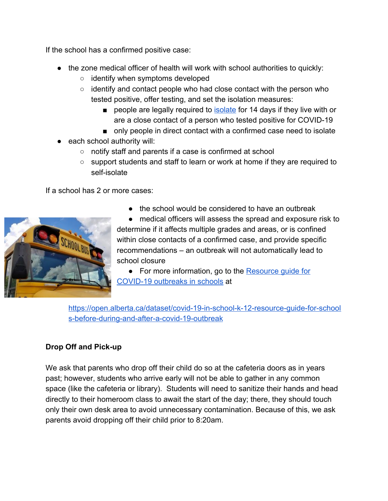If the school has a confirmed positive case:

- the zone medical officer of health will work with school authorities to quickly:
	- identify when symptoms developed
	- $\circ$  identify and contact people who had close contact with the person who tested positive, offer testing, and set the isolation measures:
		- pe[o](https://www.alberta.ca/isolation.aspx)ple are legally required to **isolate** for 14 days if they live with or are a close contact of a person who tested positive for COVID-19
		- only people in direct contact with a confirmed case need to isolate
- each school authority will:
	- notify staff and parents if a case is confirmed at school
	- support students and staff to learn or work at home if they are required to self-isolate

If a school has 2 or more cases:



● the school would be considered to have an outbreak

● medical officers will assess the spread and exposure risk to determine if it affects multiple grades and areas, or is confined within close contacts of a confirmed case, and provide specific recommendations – an outbreak will not automatically lead to school closure

● For more information, go to the Resource quide for [COVID-19 outbreaks in schools](https://open.alberta.ca/dataset/covid-19-in-school-k-12-resource-guide-for-schools-before-during-and-after-a-covid-19-outbreak) at

[https://open.alberta.ca/dataset/covid-19-in-school-k-12-resource-guide-for-school](https://open.alberta.ca/dataset/covid-19-in-school-k-12-resource-guide-for-schools-before-during-and-after-a-covid-19-outbreak) [s-before-during-and-after-a-covid-19-outbreak](https://open.alberta.ca/dataset/covid-19-in-school-k-12-resource-guide-for-schools-before-during-and-after-a-covid-19-outbreak)

# **Drop Off and Pick-up**

We ask that parents who drop off their child do so at the cafeteria doors as in years past; however, students who arrive early will not be able to gather in any common space (like the cafeteria or library). Students will need to sanitize their hands and head directly to their homeroom class to await the start of the day; there, they should touch only their own desk area to avoid unnecessary contamination. Because of this, we ask parents avoid dropping off their child prior to 8:20am.